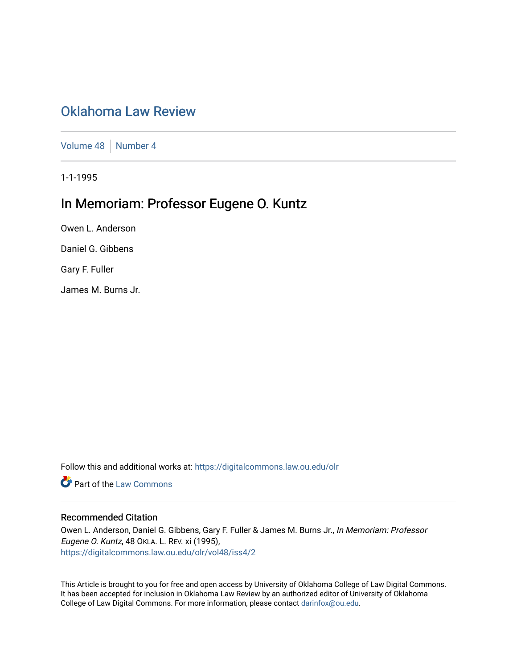# [Oklahoma Law Review](https://digitalcommons.law.ou.edu/olr)

[Volume 48](https://digitalcommons.law.ou.edu/olr/vol48) | [Number 4](https://digitalcommons.law.ou.edu/olr/vol48/iss4)

1-1-1995

# In Memoriam: Professor Eugene O. Kuntz

Owen L. Anderson

Daniel G. Gibbens

Gary F. Fuller

James M. Burns Jr.

Follow this and additional works at: [https://digitalcommons.law.ou.edu/olr](https://digitalcommons.law.ou.edu/olr?utm_source=digitalcommons.law.ou.edu%2Folr%2Fvol48%2Fiss4%2F2&utm_medium=PDF&utm_campaign=PDFCoverPages)

**Part of the [Law Commons](http://network.bepress.com/hgg/discipline/578?utm_source=digitalcommons.law.ou.edu%2Folr%2Fvol48%2Fiss4%2F2&utm_medium=PDF&utm_campaign=PDFCoverPages)** 

# Recommended Citation

Owen L. Anderson, Daniel G. Gibbens, Gary F. Fuller & James M. Burns Jr., In Memoriam: Professor Eugene O. Kuntz, 48 OKLA. L. REV. xi (1995), [https://digitalcommons.law.ou.edu/olr/vol48/iss4/2](https://digitalcommons.law.ou.edu/olr/vol48/iss4/2?utm_source=digitalcommons.law.ou.edu%2Folr%2Fvol48%2Fiss4%2F2&utm_medium=PDF&utm_campaign=PDFCoverPages) 

This Article is brought to you for free and open access by University of Oklahoma College of Law Digital Commons. It has been accepted for inclusion in Oklahoma Law Review by an authorized editor of University of Oklahoma College of Law Digital Commons. For more information, please contact [darinfox@ou.edu.](mailto:darinfox@ou.edu)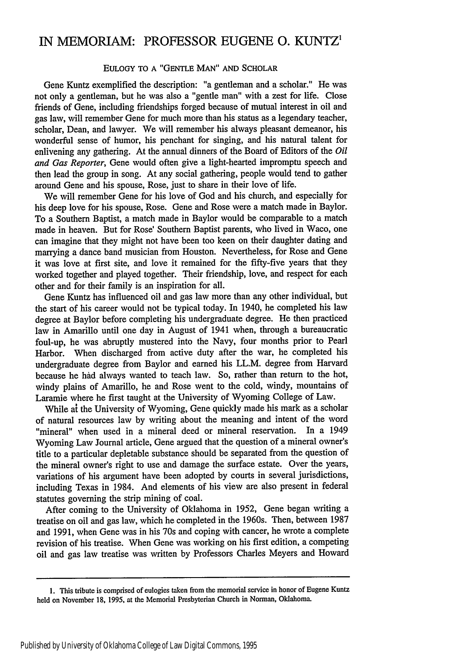# IN MEMORIAM: PROFESSOR **EUGENE 0. KUNTZ1**

### EULOGY TO A "GENTLE MAN" AND SCHOLAR

Gene Kuntz exemplified the description: "a gentleman and a scholar." He was not only a gentleman, but he was also a "gentle man" with a zest for life. Close friends of Gene, including friendships forged because of mutual interest in oil and gas law, will remember Gene for much more than his status as a legendary teacher, scholar, Dean, and lawyer. We will remember his always pleasant demeanor, his wonderful sense of humor, his penchant for singing, and his natural talent for enlivening any gathering. At the annual dinners of the Board of Editors of the *Oil and Gas Reporter,* Gene would often give a light-hearted impromptu speech and then lead the group in song. At any social gathering, people would tend to gather around Gene and his spouse, Rose, just to share in their love of life.

We will remember Gene for his love of God and his church, and especially for his deep love for his spouse, Rose. Gene and Rose were a match made in Baylor. To a Southern Baptist, a match made in Baylor would be comparable to a match made in heaven. But for Rose' Southern Baptist parents, who lived in Waco, one can imagine that they might not have been too keen on their daughter dating and marrying a dance band musician from Houston. Nevertheless, for Rose and Gene it was love at first site, and love it remained for the fifty-five years that they worked together and played together. Their friendship, love, and respect for each other and for their family is an inspiration for all.

Gene Kuntz has influenced oil and gas law more than any other individual, but the start of his career would not be typical today. In 1940, he completed his law degree at Baylor before completing his undergraduate degree. He then practiced law in Amarillo until one day in August of 1941 when, through a bureaucratic foul-up, he was abruptly mustered into the Navy, four months prior to Pearl Harbor. When discharged from active duty after the war, he completed his undergraduate degree from Baylor and earned his LL.M. degree from Harvard because he had always wanted to teach law. So, rather than return to the hot, windy plains of Amarillo, he and Rose went to the cold, windy, mountains of Laramie where he first taught at the University of Wyoming College of Law.

While at the University of Wyoming, Gene quickly made his mark as a scholar of natural resources law by writing about the meaning and intent of the word<br>"mineral" when used in a mineral deed or mineral reservation. In a 1949 "mineral" when used in a mineral deed or mineral reservation. Wyoming Law Journal article, Gene argued that the question of a mineral owner's title to a particular depletable substance should be separated from the question of the mineral owner's right to use and damage the surface estate. Over the years, variations of his argument have been adopted by courts in several jurisdictions, including Texas in 1984. And elements of his view are also present in federal statutes governing the strip mining of coal.

After coming to the University of Oklahoma in 1952, Gene began writing a treatise on oil and gas law, which he completed in the 1960s. Then, between 1987 and 1991, when Gene was in his 70s and coping with cancer, he wrote a complete revision of his treatise. When Gene was working on his first edition, a competing oil and gas law treatise was written by Professors Charles Meyers and Howard

**<sup>1.</sup>** This tribute is comprised of eulogies taken from the memorial service in honor of Eugene Kuntz held on November 18, 1995, at the Memorial Presbyterian Church in Norman, Oklahoma.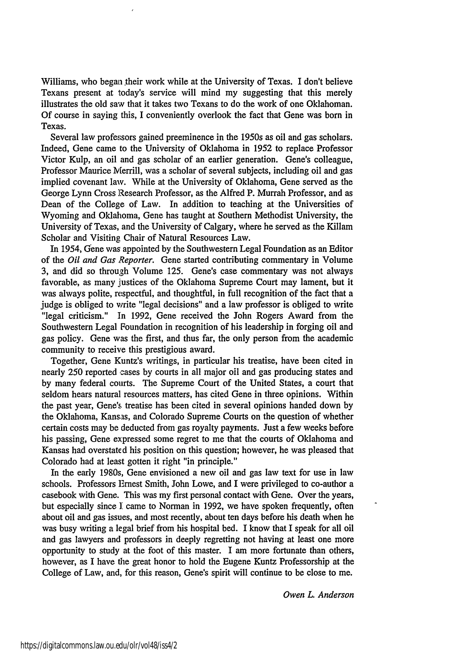Williams, who began their work while at the University of Texas. I don't believe Texans present at today's service will mind my suggesting that this merely illustrates the old saw that it takes two Texans to do the work of one Oklahoman. Of course in saying this, I conveniently overlook the fact that Gene was born in Texas.

Several law professors gained preeminence in the 1950s as oil and gas scholars. Indeed, Gene came to the University of Oklahoma in 1952 to replace Professor Victor Kulp, an oil and gas scholar of an earlier generation. Gene's colleague, Professor Maurice Merrill, was a scholar of several subjects, including oil and gas implied covenant law. While at the University of Oklahoma, Gene served as the George Lynn Cross Research Professor, as the Alfred P. Murrah Professor, and as Dean of the College of Law. In addition to teaching at the Universities of Wyoming and Oklahoma, Gene has taught at Southern Methodist University, the University of Texas, and the University of Calgary, where he served as the Killam Scholar and Visiting Chair of Natural Resources Law.

In 1954, Gene was appointed by the Southwestern Legal Foundation as an Editor of the *Oil and Gas Reporter.* Gene started contributing commentary in Volume 3, and did so through Volume 125. Gene's case commentary was not always favorable, as many justices of the Oklahoma Supreme Court may lament, but it was always polite, respectful, and thoughtful, in full recognition of the fact that a judge is obliged to vrite "legal decisions" and a law professor is obliged to write "legal criticism." In 1992, Gene received the John Rogers Award from the Southwestern Legal Foundation in recognition of his leadership in forging oil and gas policy. Gene was the first, and thus far, the only person from the academic community to receive this prestigious award.

Together, Gene Kuntz's writings, in particular his treatise, have been cited in nearly 250 reported cases by courts in all major oil and gas producing states and by many federal courts. The Supreme Court of the United States, a court that seldom hears natural resources matters, has cited Gene in three opinions. Within the past year, Gene's treatise has been cited in several opinions handed down by the Oklahoma, Kansas, and Colorado Supreme Courts on the question of whether certain costs may be deducted from gas royalty payments. Just a few weeks before his passing, Gene expressed some regret to me that the courts of Oklahoma and Kansas had overstated his position on this question; however, he was pleased that Colorado had at least gotten it right "in principle."

In the early 1980s, Gene envisioned a new oil and gas law text for use in law schools. Professors Ernest Smith, John Lowe, and I were privileged to co-author a casebook with Gene. This was my first personal contact with Gene. Over the years, but especially since **I** came to Norman in 1992, we have spoken frequently, often about oil and gas issues, and most recently, about ten days before his death when he was busy writing a legal brief from his hospital bed. I know that I speak for all oil and gas lawyers and professors in deeply regretting not having at least one more opportunity to study at the foot of this master. I am more fortunate than others, however, as I have the great honor to hold the Eugene Kuntz Professorship at the College of Law, and, for this reason, Gene's spirit will continue to be close to me.

*Owen L. Anderson*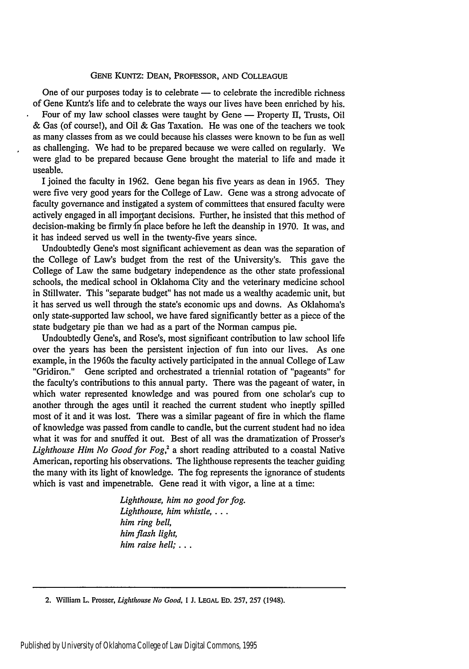#### GENE KUNTZ: DEAN, PROFESSOR, AND COLLEAGUE

One of our purposes today is to celebrate  $-$  to celebrate the incredible richness of Gene Kuntz's life and to celebrate the ways our lives have been enriched by his.

Four of my law school classes were taught by Gene  $-$  Property II, Trusts, Oil & Gas (of course!), and Oil & Gas Taxation. He was one of the teachers we took as many classes from as we could because his classes were known to be fun as well as challenging. We had to be prepared because we were called on regularly. We were glad to be prepared because Gene brought the material to life and made it useable.

I joined the faculty in 1962. Gene began his five years as dean in 1965. They were five very good years for the College of Law. Gene was a strong advocate of faculty governance and instigated a system of committees that ensured faculty were actively engaged in all important decisions. Further, he insisted that this method of decision-making be firmly in place before he left the deanship in 1970. It was, and it has indeed served us well in the twenty-five years since.

Undoubtedly Gene's most significant achievement as dean was the separation of the College of Law's budget from the rest of the University's. This gave the College of Law the same budgetary independence as the other state professional schools, the medical school in Oklahoma City and the veterinary medicine school in Stillwater. This "separate budget" has not made us a wealthy academic unit, but it has served us well through the state's economic ups and downs. As Oklahoma's only state-supported law school, we have fared significantly better as a piece of the state budgetary pie than we had as a part of the Norman campus pie.

Undoubtedly Gene's, and Rose's, most significant contribution to law school life over the years has been the persistent injection of fun into our lives. As one example, in the 1960s the faculty actively participated in the annual College of Law "Gridiron." Gene scripted and orchestrated a triennial rotation of "pageants" for the faculty's contributions to this annual party. There was the pageant of water, in which water represented knowledge and was poured from one scholar's cup to another through the ages until it reached the current student who ineptly spilled most of it and it was lost. There was a similar pageant of fire in which the flame of knowledge was passed from candle to candle, but the current student had no idea what it was for and snuffed it out. Best of all was the dramatization of Prosser's *Lighthouse Him No Good for Fog*,<sup>2</sup> a short reading attributed to a coastal Native American, reporting his observations. The lighthouse represents the teacher guiding the many with its light of knowledge. The fog represents the ignorance of students which is vast and impenetrable. Gene read it with vigor, a line at a time:

> *Lighthouse, him no good for fog. Lighthouse, him whistle,... him ring bell, him flash light, him raise hell;..*

2. William L. Prosser, *Lighthouse No Good,* **I J. LEGAL ED.** 257, 257 (1948).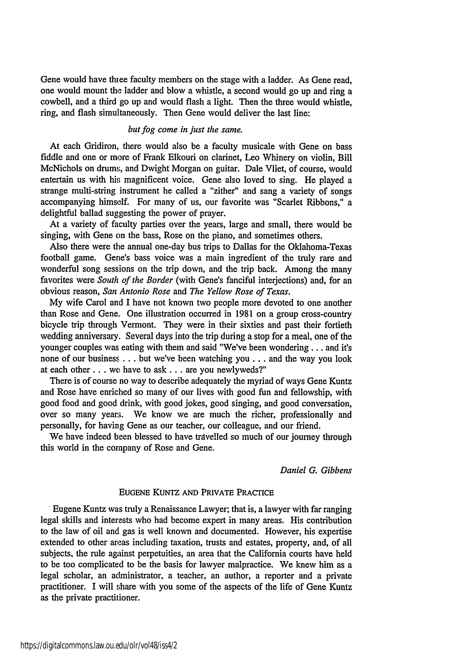Gene would have thiee faculty members on the stage with a ladder. As Gene read, one would mount the ladder and blow a whistle, a second would go up and ring a cowbell, and a third go up and would flash a light. Then the three would whistle, ring, and flash simultaneously. Then Gene would deliver the last line:

### *but fog come in just the same.*

At each Gridiron, there would also be a faculty musicale with Gene on bass fiddle and one or more of Frank Elkouri on clarinet, Leo Whinery on violin, Bill McNichols on drums, and Dwight Morgan on guitar. Dale Vliet, of course, would entertain us with his magnificent voice. Gene also loved to sing. He played a strange multi-string instrument he called a "zither" and sang a variety of songs accompanying himself. For many of us, our favorite was "Scarlet Ribbons," a delightful ballad suggesting the power of prayer.

At a variety of faculty parties over the years, large and small, there would be singing, with Gene on the bass, Rose on the piano, and sometimes others.

Also there were the annual one-day bus trips to Dallas for the Oklahoma-Texas football game. Gene's bass voice was a main ingredient of the truly rare and wonderful song sessions on the trip down, and the trip back. Among the many favorites were *South of the Border* (with Gene's fanciful interjections) and, for an obvious reason, *San Antonio Rose* and *The Yellow Rose of Texas.*

My wife Carol and I have not known two people more devoted to one another than Rose and Gene. One illustration occurred in 1981 on a group cross-country bicycle trip through Vermont. They were in their sixties and past their fortieth wedding anniversary. Several days into the trip during a stop for a meal, one of the younger couples was eating with them and said "We've been wondering.., and it's none of our business **...** but we've been watching you... and the way you look at each other **...** we have to ask **...** are you newlyweds?"

There is of course no way to describe adequately the myriad of ways Gene Kuntz and Rose have enriched so many of our lives with good fun and fellowship, with good food and good drink, with good jokes, good singing, and good conversation, over so many year. We know we are much the richer, professionally and personally, for having Gene as our teacher, our colleague, and our friend.

We have indeed been blessed to have travelled so much of our journey through this world in the company of Rose and Gene.

## *Daniel G. Gibbens*

#### EUGENE **KUNTZ** AND PRIVATE PRACTICE

Eugene Kuntz was truly a Renaissance Lawyer; that is, a lawyer with far ranging legal skills and interests who had become expert in many areas. His contribution to the law of oil and gas is well known and documented. However, his expertise extended to other areas including taxation, trusts and estates, property, and, of all subjects, the rule against perpetuities, an area that the California courts have held to be too complicated to be the basis for lawyer malpractice. We knew him as a legal scholar, an administrator, a teacher, an author, a reporter and a private practitioner. I will share with you some of the aspects of the life of Gene Kuntz as the private practitioner.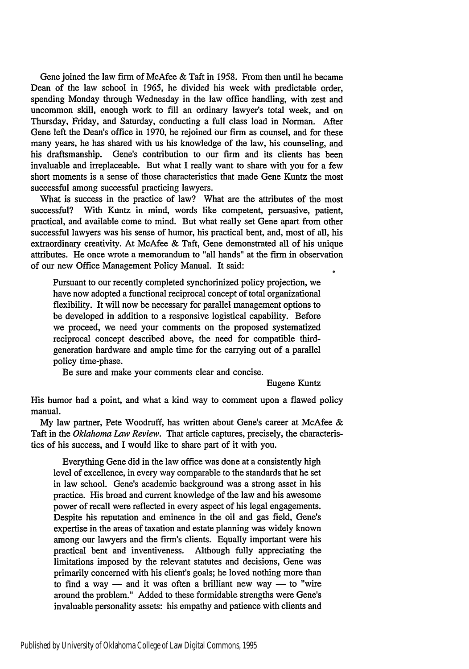Gene joined the law firm of McAfee & Taft in 1958. From then until he became Dean of the law school in 1965, he divided his week with predictable order, spending Monday through Wednesday in the law office handling, with zest and uncommon skill, enough work to fill an ordinary lawyer's total week, and on Thursday, Friday, and Saturday, conducting a full class load in Norman. After Gene left the Dean's office in 1970, he rejoined our firm as counsel, and for these many years, he has shared with us his knowledge of the law, his counseling, and his draftsmanship. Gene's contribution to our firm and its clients has been invaluable and irreplaceable. But what I really want to share with you for a few short moments is a sense of those characteristics that made Gene Kuntz the most successful among successful practicing lawyers.

What is success in the practice of law? What are the attributes of the most successful? With Kuntz in mind, words like competent, persuasive, patient, practical, and available come to mind. But what really set Gene apart from other successful lawyers was his sense of humor, his practical bent, and, most of all, his extraordinary creativity. At McAfee & Taft, Gene demonstrated all of his unique attributes. He once wrote a memorandum to "all hands" at the firm in observation of our new Office Management Policy Manual. It said:

Pursuant to our recently completed synchorinized policy projection, we have now adopted a functional reciprocal concept of total organizational flexibility. It will now be necessary for parallel management options to be developed in addition to a responsive logistical capability. Before we proceed, we need your comments on the proposed systematized reciprocal concept described above, the need for compatible thirdgeneration hardware and ample time for the carrying out of a parallel policy time-phase.

Be sure and make your comments clear and concise.

Eugene Kuntz

His humor had a point, and what a kind way to comment upon a flawed policy manual.

My law partner, Pete Woodruff, has written about Gene's career at McAfee & Taft in the *Oklahoma Law Review.* That article captures, precisely, the characteristics of his success, and I would like to share part of it with you.

Everything Gene did in the law office was done at a consistently high level of excellence, in every way comparable to the standards that he set in law school. Gene's academic background was a strong asset in his practice. His broad and current knowledge of the law and his awesome power of recall were reflected in every aspect of his legal engagements. Despite his reputation and eminence in the oil and gas field, Gene's expertise in the areas of taxation and estate planning was widely known among our lawyers and the firm's clients. Equally important were his practical bent and inventiveness. Although fully appreciating the limitations imposed by the relevant statutes and decisions, Gene was primarily concerned with his client's goals; he loved nothing more than to find a way  $-$  and it was often a brilliant new way  $-$  to "wire around the problem." Added to these formidable strengths were Gene's invaluable personality assets: his empathy and patience with clients and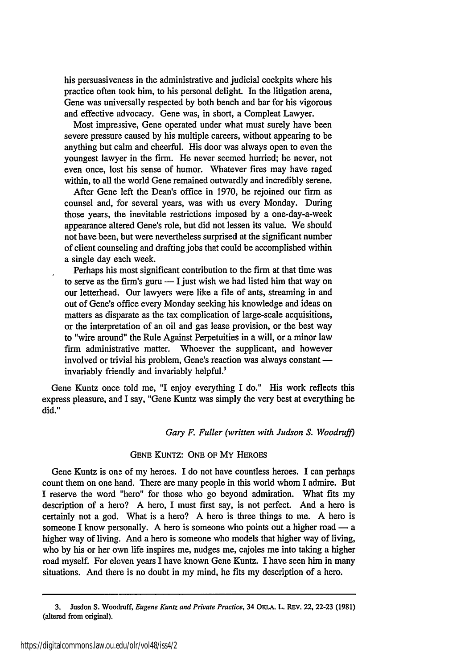his persuasiveness in the administrative and judicial cockpits where his practice often took him, to his personal delight. In the litigation arena, Gene was universally respected by both bench and bar for his vigorous and effective advocacy. Gene was, in short, a Compleat Lawyer.

Most impressive, Gene operated under what must surely have been severe pressure caused by his multiple careers, without appearing to be anything but calm and cheerful. His door was always open to even the youngest lawyer in the firm. He never seemed hurried; he never, not even once, lost his sense of humor. Whatever fires may have raged within, to all the world Gene remained outwardly and incredibly serene.

After Gene left the Dean's office in 1970, he rejoined our firm as counsel and, for several years, was with us every Monday. During those years, the inevitable restrictions imposed by a one-day-a-week appearance altered Gene's role, but did not lessen its value. We should not have been, but were nevertheless surprised at the significant number of client counseling and drafting jobs that could be accomplished within a single day each week.

Perhaps his most significant contribution to the firm at that time was to serve as the firm's guru  $-1$  just wish we had listed him that way on our letterhead. Our lawyers were like a file of ants, streaming in and out of Gene's office every Monday seeking his knowledge and ideas on matters as disparate as the tax complication of large-scale acquisitions, or the interpretation of an oil and gas lease provision, or the best way to "wire around" the Rule Against Perpetuities in a will, or a minor law firn administrative matter. Whoever the supplicant, and however involved or trivial his problem, Gene's reaction was always constant invariably friendly and invariably helpful.<sup>3</sup>

Gene Kuntz once told me, "I enjoy everything I do." His work reflects this express pleasure, and I say, "Gene Kuntz was simply the very best at everything he did."

*Gary F. Fuller (written with Judson S. Woodruff)*

#### GENE KUNTZ: **ONE** OF MY HEROES

Gene Kuntz is one of my heroes. I do not have countless heroes. I can perhaps count them on one hand. There are many people in this world whom I admire. But I reserve the word "hero" for those who go beyond admiration. What fits my description of a hero? A hero, I must first say, is not perfect. And a hero is certainly not a god. What is a hero? A hero is three things to me. A hero is someone I know personally. A hero is someone who points out a higher road — a higher way of living. And a hero is someone who models that higher way of living, who by his or her own life inspires me, nudges me, cajoles me into taking a higher road myself. For eleven years I have known Gene Kuntz. I have seen him in many situations. And there is no doubt in my mind, he fits my description of a hero.

<sup>3.</sup> Jusdon **S.** Woodruff, *Eugene Kuntz and Private Practice,* 34 OKLA. L. REv. 22, **22-23 (1981)** (altered from original).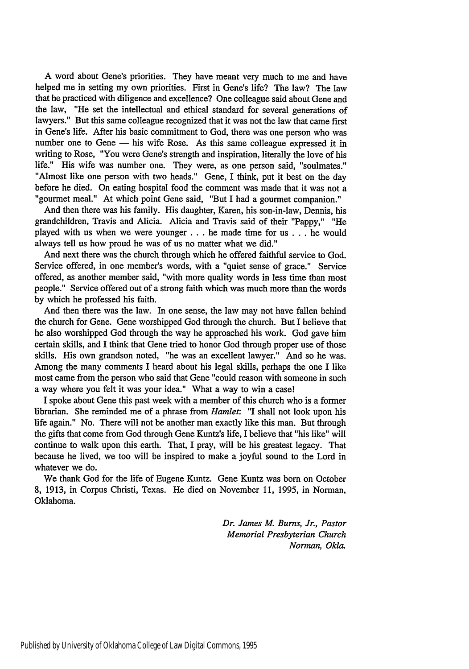A word about Gene's priorities. They have meant very much to me and have helped me in setting my own priorities. First in Gene's life? The law? The law that he practiced with diligence and excellence? One colleague said about Gene and the law, "He set the intellectual and ethical standard for several generations of lawyers." But this same colleague recognized that it was not the law that came first in Gene's life. After his basic commitment to God, there was one person who was number one to Gene - his wife Rose. As this same colleague expressed it in writing to Rose, "You were Gene's strength and inspiration, literally the love of his life." His wife was number one. They were, as one person said, "soulmates." "Almost like one person with two heads." Gene, I think, put it best on the day before he died. On eating hospital food the comment was made that it was not a "gourmet meal." At which point Gene said, "But I had a gourmet companion."

And then there was his family. His daughter, Karen, his son-in-law, Dennis, his grandchildren, Travis and Alicia. Alicia and Travis said of their "Pappy," "He played with us when we were younger **...** he made time for us . . . he would always tell us how proud he was of us no matter what we did."

And next there was the church through which he offered faithful service to God. Service offered, in one member's words, with a "quiet sense of grace." Service offered, as another member said, "with more quality words in less time than most people." Service offered out of a strong faith which was much more than the words by which he professed his faith.

And then there was the law. In one sense, the law may not have fallen behind the church for Gene. Gene worshipped God through the church. But I believe that he also worshipped God through the way he approached his work. God gave him certain skills, and I think that Gene tried to honor God through proper use of those skills. His own grandson noted, "he was an excellent lawyer." And so he was. Among the many comments I heard about his legal skills, perhaps the one I like most came from the person who said that Gene "could reason with someone in such a way where you felt it was your idea." What a way to win a case!

I spoke about Gene this past week with a member of this church who is a former librarian. She reminded me of a phrase from *Hamlet:* "I shall not look upon his life again." No. There will not be another man exactly like this man. But through the gifts that come from God through Gene Kuntz's life, I believe that "his like" will continue to walk upon this earth. That, I pray, will be his greatest legacy. That because he lived, we too will be inspired to make a joyful sound to the Lord in whatever we do.

We thank God for the life of Eugene Kuntz. Gene Kuntz was born on October 8, 1913, in Corpus Christi, Texas. He died on November 11, 1995, in Norman, Oklahoma.

> *Dr. James M. Bums, Jr., Pastor Memorial Presbyterian Church Norman, Okla.*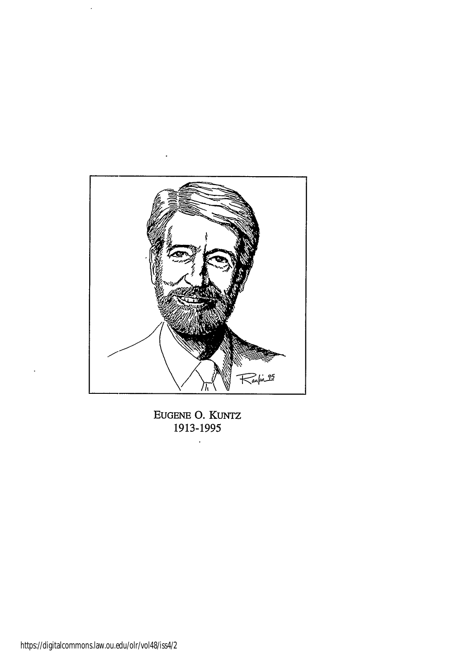

**EUGENE 0.** KUNTZ **1913-1995**

 $\bar{\mathcal{A}}$